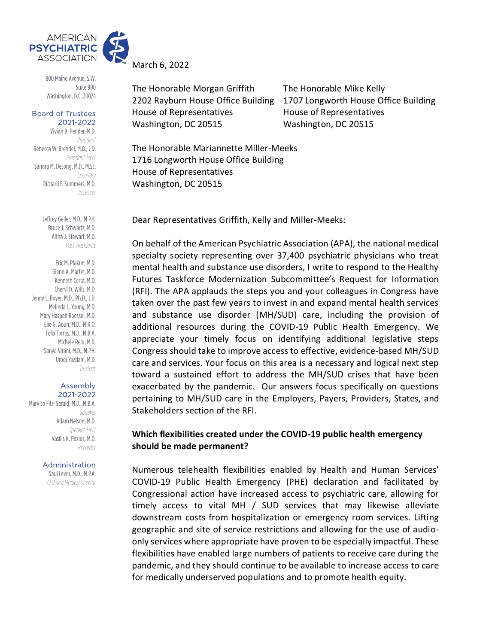

800 Maine Avenue, S.W. Suite 900 Washington, D.C. 20024

#### **Board of Trustees** 2021-2022

Vivian B. Pender, M.D. President Rebecca W. Brendel, M.D., J.D. President-Elect Sandra M. DeJong, M.D., M.Sc. Secretary Richard F. Summers, M.D. Treasurer

> Jeffrey Geller, M.D., M.P.H. Bruce J. Schwartz, M.D. Altha J. Stewart, M.D. Past Presidents

Eric M. Plakun, M.D. Glenn A. Martin, M.D. Kenneth Certa, M.D. Cheryl D. Wills, M.D. Jenny L. Boyer, M.D., Ph.D., J.D. Melinda L. Young, M.D. Mary Hasbah Roessel, M.D. Elie G. Aoun. M.D., M.R.O. Felix Torres, M.D., M.B.A. Michele Reid, M.D. Sanya Virani, M.D., M.P.H. Urooj Yazdani, M.D. Trustees

#### Assembly 2021-2022

Mary Jo Fitz-Gerald, M.D., M.B.A. Speaker Adam Nelson, M.D. Speaker-Flect Vasilis K. Pozios, M.D. Recorder

### Administration

Saul Levin, M.D., M.P.A. CEO and Medical Director March 6, 2022

The Honorable Morgan Griffith The Honorable Mike Kelly House of Representatives House of Representatives Washington, DC 20515 Washington, DC 20515

2202 Rayburn House Office Building 1707 Longworth House Office Building

The Honorable Mariannette Miller-Meeks 1716 Longworth House Office Building House of Representatives Washington, DC 20515

Dear Representatives Griffith, Kelly and Miller-Meeks:

On behalf of the American Psychiatric Association (APA), the national medical specialty society representing over 37,400 psychiatric physicians who treat mental health and substance use disorders, I write to respond to the Healthy Futures Taskforce Modernization Subcommittee's Request for Information (RFI). The APA applauds the steps you and your colleagues in Congress have taken over the past few years to invest in and expand mental health services and substance use disorder (MH/SUD) care, including the provision of additional resources during the COVID-19 Public Health Emergency. We appreciate your timely focus on identifying additional legislative steps Congress should take to improve access to effective, evidence-based MH/SUD care and services. Your focus on this area is a necessary and logical next step toward a sustained effort to address the MH/SUD crises that have been exacerbated by the pandemic. Our answers focus specifically on questions pertaining to MH/SUD care in the Employers, Payers, Providers, States, and Stakeholders section of the RFI.

# **Which flexibilities created under the COVID-19 public health emergency should be made permanent?**

Numerous telehealth flexibilities enabled by Health and Human Services' COVID-19 Public Health Emergency (PHE) declaration and facilitated by Congressional action have increased access to psychiatric care, allowing for timely access to vital MH / SUD services that may likewise alleviate downstream costs from hospitalization or emergency room services. Lifting geographic and site of service restrictions and allowing for the use of audioonly services where appropriate have proven to be especially impactful. These flexibilities have enabled large numbers of patients to receive care during the pandemic, and they should continue to be available to increase access to care for medically underserved populations and to promote health equity.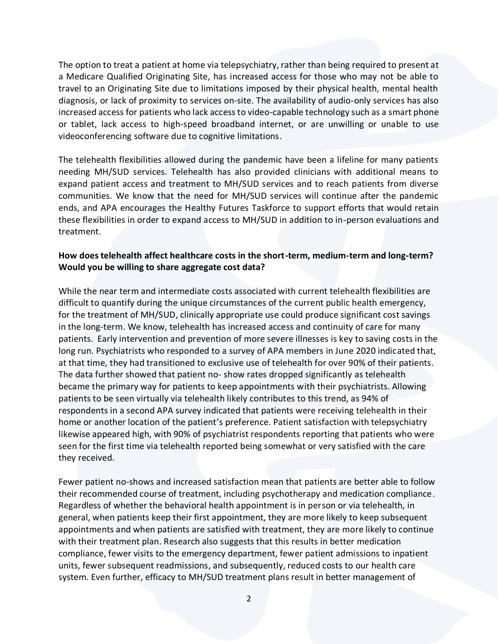The option to treat a patient at home via telepsychiatry, rather than being required to present at a Medicare Qualified Originating Site, has increased access for those who may not be able to travel to an Originating Site due to limitations imposed by their physical health, mental health diagnosis, or lack of proximity to services on-site. The availability of audio-only services has also increased access for patients who lack access to video-capable technology such as a smart phone or tablet, lack access to high-speed broadband internet, or are unwilling or unable to use videoconferencing software due to cognitive limitations.

The telehealth flexibilities allowed during the pandemic have been a lifeline for many patients needing MH/SUD services. Telehealth has also provided clinicians with additional means to expand patient access and treatment to MH/SUD services and to reach patients from diverse communities. We know that the need for MH/SUD services will continue after the pandemic ends, and APA encourages the Healthy Futures Taskforce to support efforts that would retain these flexibilities in order to expand access to MH/SUD in addition to in-person evaluations and treatment.

## **How does telehealth affect healthcare costs in the short-term, medium-term and long-term? Would you be willing to share aggregate cost data?**

While the near term and intermediate costs associated with current telehealth flexibilities are difficult to quantify during the unique circumstances of the current public health emergency, for the treatment of MH/SUD, clinically appropriate use could produce significant cost savings in the long-term. We know, telehealth has increased access and continuity of care for many patients. Early intervention and prevention of more severe illnesses is key to saving costs in the long run. Psychiatrists who responded to a survey of APA members in June 2020 indicated that, at that time, they had transitioned to exclusive use of telehealth for over 90% of their patients. The data further showed that patient no- show rates dropped significantly as telehealth became the primary way for patients to keep appointments with their psychiatrists. Allowing patients to be seen virtually via telehealth likely contributes to this trend, as 94% of respondents in a second APA survey indicated that patients were receiving telehealth in their home or another location of the patient's preference. Patient satisfaction with telepsychiatry likewise appeared high, with 90% of psychiatrist respondents reporting that patients who were seen for the first time via telehealth reported being somewhat or very satisfied with the care they received.

Fewer patient no-shows and increased satisfaction mean that patients are better able to follow their recommended course of treatment, including psychotherapy and medication compliance. Regardless of whether the behavioral health appointment is in person or via telehealth, in general, when patients keep their first appointment, they are more likely to keep subsequent appointments and when patients are satisfied with treatment, they are more likely to continue with their treatment plan. Research also suggests that this results in better medication compliance, fewer visits to the emergency department, fewer patient admissions to inpatient units, fewer subsequent readmissions, and subsequently, reduced costs to our health care system. Even further, efficacy to MH/SUD treatment plans result in better management of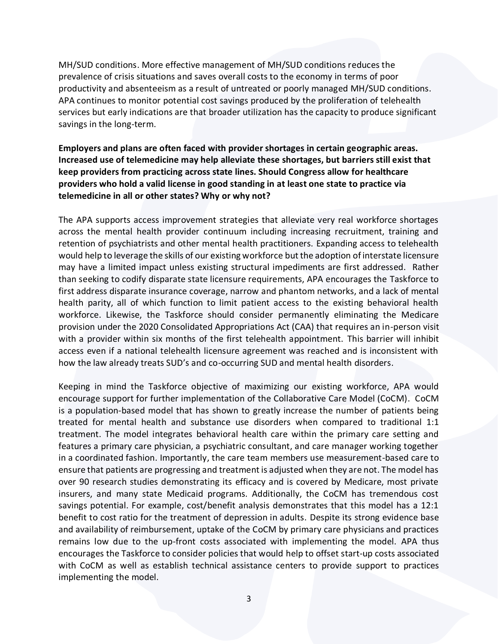MH/SUD conditions. More effective management of MH/SUD conditions reduces the prevalence of crisis situations and saves overall costs to the economy in terms of poor productivity and absenteeism as a result of untreated or poorly managed MH/SUD conditions. APA continues to monitor potential cost savings produced by the proliferation of telehealth services but early indications are that broader utilization has the capacity to produce significant savings in the long-term.

# **Employers and plans are often faced with provider shortages in certain geographic areas. Increased use of telemedicine may help alleviate these shortages, but barriers still exist that keep providers from practicing across state lines. Should Congress allow for healthcare providers who hold a valid license in good standing in at least one state to practice via telemedicine in all or other states? Why or why not?**

The APA supports access improvement strategies that alleviate very real workforce shortages across the mental health provider continuum including increasing recruitment, training and retention of psychiatrists and other mental health practitioners. Expanding access to telehealth would help to leverage the skills of our existing workforce but the adoption of interstate licensure may have a limited impact unless existing structural impediments are first addressed. Rather than seeking to codify disparate state licensure requirements, APA encourages the Taskforce to first address disparate insurance coverage, narrow and phantom networks, and a lack of mental health parity, all of which function to limit patient access to the existing behavioral health workforce. Likewise, the Taskforce should consider permanently eliminating the Medicare provision under the 2020 Consolidated Appropriations Act (CAA) that requires an in-person visit with a provider within six months of the first telehealth appointment. This barrier will inhibit access even if a national telehealth licensure agreement was reached and is inconsistent with how the law already treats SUD's and co-occurring SUD and mental health disorders.

Keeping in mind the Taskforce objective of maximizing our existing workforce, APA would encourage support for further implementation of the Collaborative Care Model (CoCM). CoCM is a population-based model that has shown to greatly increase the number of patients being treated for mental health and substance use disorders when compared to traditional 1:1 treatment. The model integrates behavioral health care within the primary care setting and features a primary care physician, a psychiatric consultant, and care manager working together in a coordinated fashion. Importantly, the care team members use measurement-based care to ensure that patients are progressing and treatment is adjusted when they are not. The model has over 90 research studies demonstrating its efficacy and is covered by Medicare, most private insurers, and many state Medicaid programs. Additionally, the CoCM has tremendous cost savings potential. For example, cost/benefit analysis demonstrates that this model has a 12:1 benefit to cost ratio for the treatment of depression in adults. Despite its strong evidence base and availability of reimbursement, uptake of the CoCM by primary care physicians and practices remains low due to the up-front costs associated with implementing the model. APA thus encourages the Taskforce to consider policies that would help to offset start-up costs associated with CoCM as well as establish technical assistance centers to provide support to practices implementing the model.